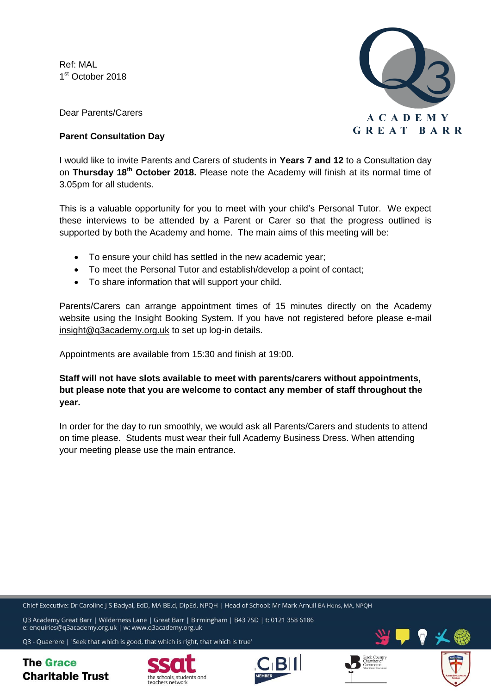Ref: MAL 1st October 2018



Dear Parents/Carers

## **Parent Consultation Day**

I would like to invite Parents and Carers of students in **Years 7 and 12** to a Consultation day on **Thursday 18th October 2018.** Please note the Academy will finish at its normal time of 3.05pm for all students.

This is a valuable opportunity for you to meet with your child's Personal Tutor. We expect these interviews to be attended by a Parent or Carer so that the progress outlined is supported by both the Academy and home. The main aims of this meeting will be:

- To ensure your child has settled in the new academic year;
- To meet the Personal Tutor and establish/develop a point of contact;
- To share information that will support your child.

Parents/Carers can arrange appointment times of 15 minutes directly on the Academy website using the Insight Booking System. If you have not registered before please e-mail [insight@q3academy.org.uk](mailto:insight@q3academy.org.uk) to set up log-in details.

Appointments are available from 15:30 and finish at 19:00.

**Staff will not have slots available to meet with parents/carers without appointments, but please note that you are welcome to contact any member of staff throughout the year.** 

In order for the day to run smoothly, we would ask all Parents/Carers and students to attend on time please. Students must wear their full Academy Business Dress. When attending your meeting please use the main entrance.

Chief Executive: Dr Caroline | S Badyal, EdD, MA BE.d, DipEd, NPOH | Head of School: Mr Mark Arnull BA Hons, MA, NPOH

O3 Academy Great Barr | Wilderness Lane | Great Barr | Birmingham | B43 7SD | t: 0121 358 6186 e: enquiries@q3academy.org.uk | w: www.q3academy.org.uk

Q3 - Quaerere | 'Seek that which is good, that which is right, that which is true'

**The Grace Charitable Trust**